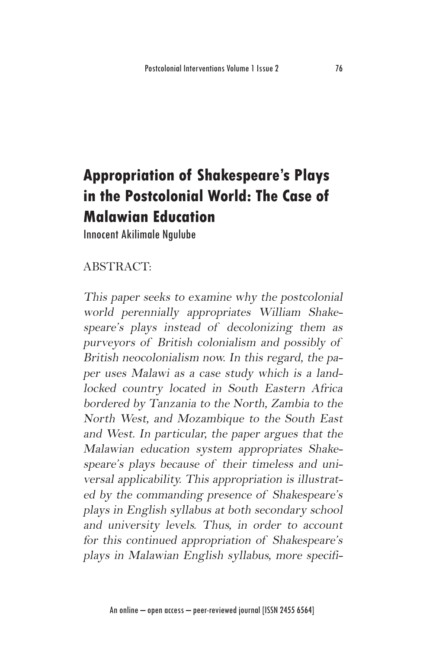# **Appropriation of Shakespeare's Plays in the Postcolonial World: The Case of Malawian Education**

Innocent Akilimale Ngulube

#### ABSTRACT:

This paper seeks to examine why the postcolonial world perennially appropriates William Shakespeare's plays instead of decolonizing them as purveyors of British colonialism and possibly of British neocolonialism now. In this regard, the paper uses Malawi as a case study which is a landlocked country located in South Eastern Africa bordered by Tanzania to the North, Zambia to the North West, and Mozambique to the South East and West. In particular, the paper argues that the Malawian education system appropriates Shakespeare's plays because of their timeless and universal applicability. This appropriation is illustrated by the commanding presence of Shakespeare's plays in English syllabus at both secondary school and university levels. Thus, in order to account for this continued appropriation of Shakespeare's plays in Malawian English syllabus, more specifi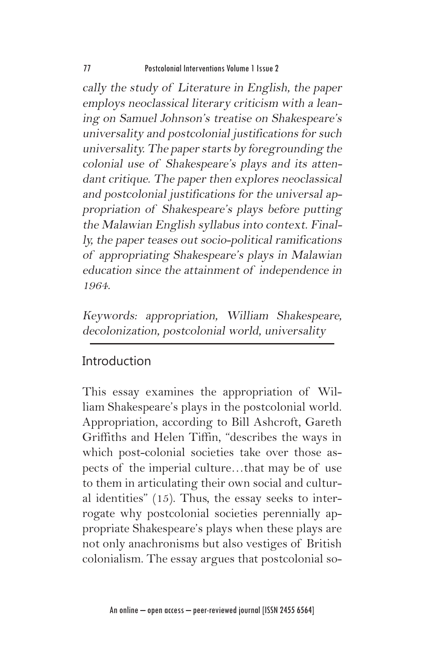cally the study of Literature in English, the paper employs neoclassical literary criticism with a leaning on Samuel Johnson's treatise on Shakespeare's universality and postcolonial justifications for such universality. The paper starts by foregrounding the colonial use of Shakespeare's plays and its attendant critique. The paper then explores neoclassical and postcolonial justifications for the universal appropriation of Shakespeare's plays before putting the Malawian English syllabus into context. Finally, the paper teases out socio-political ramifications of appropriating Shakespeare's plays in Malawian education since the attainment of independence in 1964.

Keywords: appropriation, William Shakespeare, decolonization, postcolonial world, universality

### Introduction

This essay examines the appropriation of William Shakespeare's plays in the postcolonial world. Appropriation, according to Bill Ashcroft, Gareth Griffiths and Helen Tiffin, "describes the ways in which post-colonial societies take over those aspects of the imperial culture…that may be of use to them in articulating their own social and cultural identities" (15). Thus, the essay seeks to interrogate why postcolonial societies perennially appropriate Shakespeare's plays when these plays are not only anachronisms but also vestiges of British colonialism. The essay argues that postcolonial so-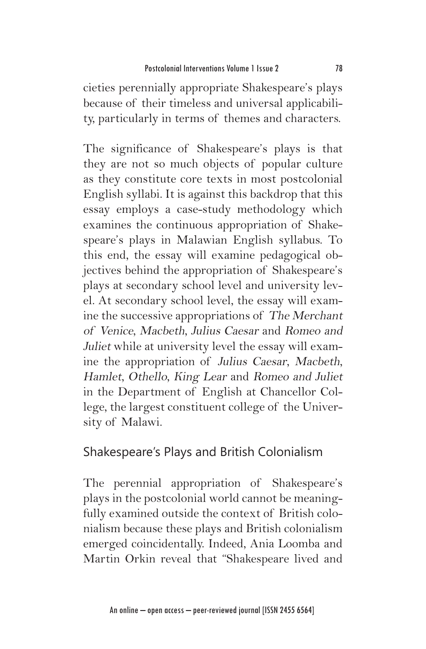cieties perennially appropriate Shakespeare's plays because of their timeless and universal applicability, particularly in terms of themes and characters.

The significance of Shakespeare's plays is that they are not so much objects of popular culture as they constitute core texts in most postcolonial English syllabi. It is against this backdrop that this essay employs a case-study methodology which examines the continuous appropriation of Shakespeare's plays in Malawian English syllabus. To this end, the essay will examine pedagogical objectives behind the appropriation of Shakespeare's plays at secondary school level and university level. At secondary school level, the essay will examine the successive appropriations of The Merchant of Venice, Macbeth, Julius Caesar and Romeo and Juliet while at university level the essay will examine the appropriation of Julius Caesar, Macbeth, Hamlet, Othello, King Lear and Romeo and Juliet in the Department of English at Chancellor College, the largest constituent college of the University of Malawi.

#### Shakespeare's Plays and British Colonialism

The perennial appropriation of Shakespeare's plays in the postcolonial world cannot be meaningfully examined outside the context of British colonialism because these plays and British colonialism emerged coincidentally. Indeed, Ania Loomba and Martin Orkin reveal that "Shakespeare lived and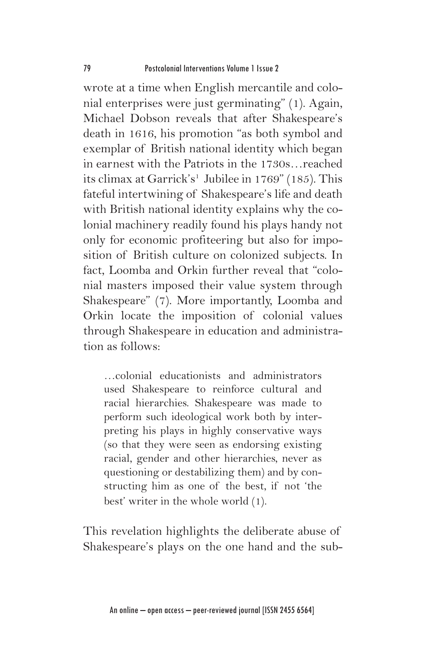wrote at a time when English mercantile and colonial enterprises were just germinating" (1). Again, Michael Dobson reveals that after Shakespeare's death in 1616, his promotion "as both symbol and exemplar of British national identity which began in earnest with the Patriots in the 1730s…reached its climax at Garrick's<sup>1</sup> Jubilee in 1769" (185). This fateful intertwining of Shakespeare's life and death with British national identity explains why the colonial machinery readily found his plays handy not only for economic profiteering but also for imposition of British culture on colonized subjects. In fact, Loomba and Orkin further reveal that "colonial masters imposed their value system through Shakespeare" (7). More importantly, Loomba and Orkin locate the imposition of colonial values through Shakespeare in education and administration as follows:

…colonial educationists and administrators used Shakespeare to reinforce cultural and racial hierarchies. Shakespeare was made to perform such ideological work both by interpreting his plays in highly conservative ways (so that they were seen as endorsing existing racial, gender and other hierarchies, never as questioning or destabilizing them) and by constructing him as one of the best, if not 'the best' writer in the whole world (1).

This revelation highlights the deliberate abuse of Shakespeare's plays on the one hand and the sub-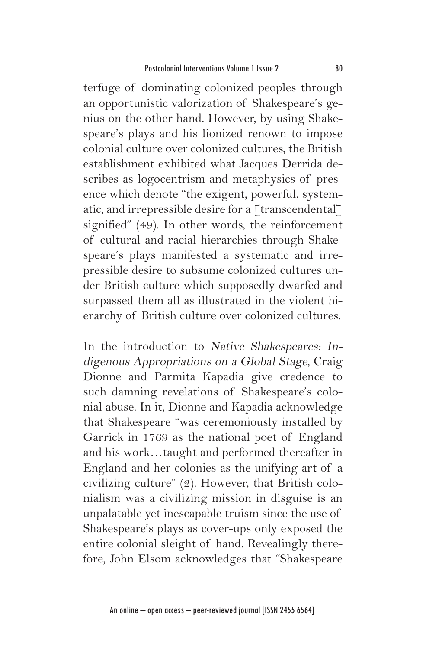terfuge of dominating colonized peoples through an opportunistic valorization of Shakespeare's genius on the other hand. However, by using Shakespeare's plays and his lionized renown to impose colonial culture over colonized cultures, the British establishment exhibited what Jacques Derrida describes as logocentrism and metaphysics of presence which denote "the exigent, powerful, systematic, and irrepressible desire for a [transcendental] signified" (49). In other words, the reinforcement of cultural and racial hierarchies through Shakespeare's plays manifested a systematic and irrepressible desire to subsume colonized cultures under British culture which supposedly dwarfed and surpassed them all as illustrated in the violent hierarchy of British culture over colonized cultures.

In the introduction to Native Shakespeares: Indigenous Appropriations on a Global Stage, Craig Dionne and Parmita Kapadia give credence to such damning revelations of Shakespeare's colonial abuse. In it, Dionne and Kapadia acknowledge that Shakespeare "was ceremoniously installed by Garrick in 1769 as the national poet of England and his work…taught and performed thereafter in England and her colonies as the unifying art of a civilizing culture" (2). However, that British colonialism was a civilizing mission in disguise is an unpalatable yet inescapable truism since the use of Shakespeare's plays as cover-ups only exposed the entire colonial sleight of hand. Revealingly therefore, John Elsom acknowledges that "Shakespeare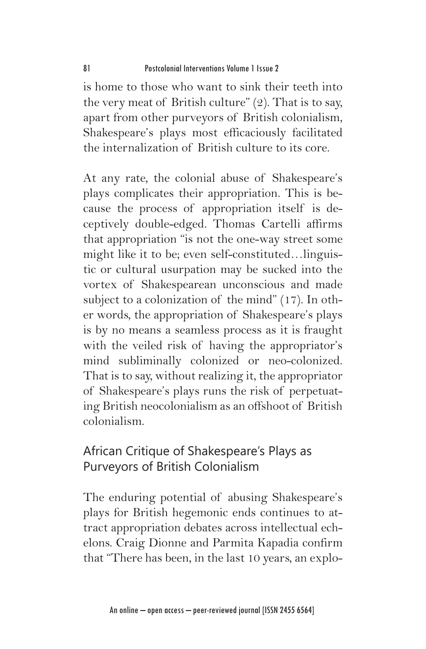is home to those who want to sink their teeth into the very meat of British culture" (2). That is to say, apart from other purveyors of British colonialism, Shakespeare's plays most efficaciously facilitated the internalization of British culture to its core.

At any rate, the colonial abuse of Shakespeare's plays complicates their appropriation. This is because the process of appropriation itself is deceptively double-edged. Thomas Cartelli affirms that appropriation "is not the one-way street some might like it to be; even self-constituted…linguistic or cultural usurpation may be sucked into the vortex of Shakespearean unconscious and made subject to a colonization of the mind" (17). In other words, the appropriation of Shakespeare's plays is by no means a seamless process as it is fraught with the veiled risk of having the appropriator's mind subliminally colonized or neo-colonized. That is to say, without realizing it, the appropriator of Shakespeare's plays runs the risk of perpetuating British neocolonialism as an offshoot of British colonialism.

# African Critique of Shakespeare's Plays as Purveyors of British Colonialism

The enduring potential of abusing Shakespeare's plays for British hegemonic ends continues to attract appropriation debates across intellectual echelons. Craig Dionne and Parmita Kapadia confirm that "There has been, in the last 10 years, an explo-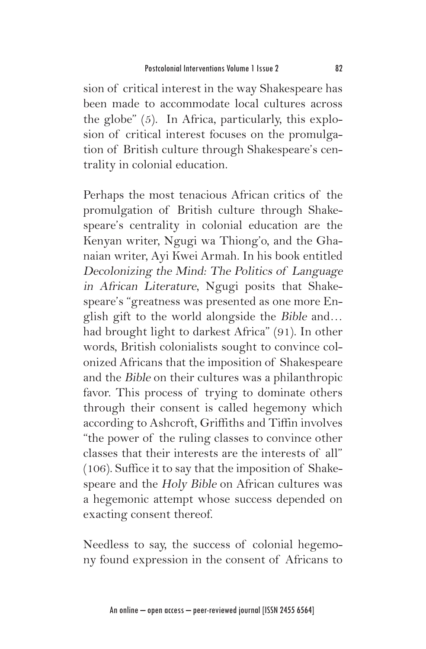sion of critical interest in the way Shakespeare has been made to accommodate local cultures across the globe" (5). In Africa, particularly, this explosion of critical interest focuses on the promulgation of British culture through Shakespeare's centrality in colonial education.

Perhaps the most tenacious African critics of the promulgation of British culture through Shakespeare's centrality in colonial education are the Kenyan writer, Ngugi wa Thiong'o, and the Ghanaian writer, Ayi Kwei Armah. In his book entitled Decolonizing the Mind: The Politics of Language in African Literature, Ngugi posits that Shakespeare's "greatness was presented as one more English gift to the world alongside the Bible and… had brought light to darkest Africa" (91). In other words, British colonialists sought to convince colonized Africans that the imposition of Shakespeare and the Bible on their cultures was a philanthropic favor. This process of trying to dominate others through their consent is called hegemony which according to Ashcroft, Griffiths and Tiffin involves "the power of the ruling classes to convince other classes that their interests are the interests of all" (106). Suffice it to say that the imposition of Shakespeare and the Holy Bible on African cultures was a hegemonic attempt whose success depended on exacting consent thereof.

Needless to say, the success of colonial hegemony found expression in the consent of Africans to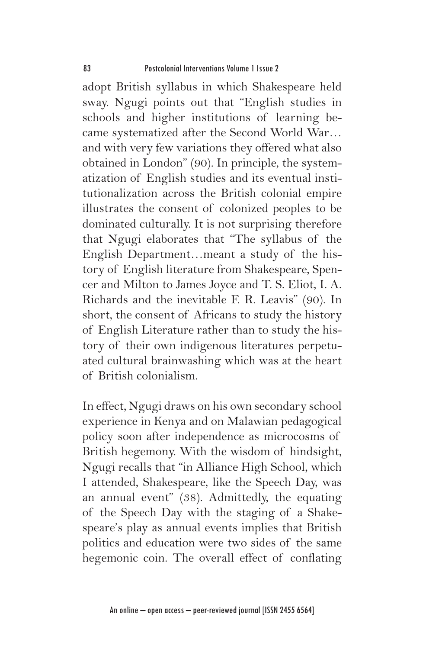adopt British syllabus in which Shakespeare held sway. Ngugi points out that "English studies in schools and higher institutions of learning became systematized after the Second World War… and with very few variations they offered what also obtained in London" (90). In principle, the systematization of English studies and its eventual institutionalization across the British colonial empire illustrates the consent of colonized peoples to be dominated culturally. It is not surprising therefore that Ngugi elaborates that "The syllabus of the English Department…meant a study of the history of English literature from Shakespeare, Spencer and Milton to James Joyce and T. S. Eliot, I. A. Richards and the inevitable F. R. Leavis" (90). In short, the consent of Africans to study the history of English Literature rather than to study the history of their own indigenous literatures perpetuated cultural brainwashing which was at the heart of British colonialism.

In effect, Ngugi draws on his own secondary school experience in Kenya and on Malawian pedagogical policy soon after independence as microcosms of British hegemony. With the wisdom of hindsight, Ngugi recalls that "in Alliance High School, which I attended, Shakespeare, like the Speech Day, was an annual event" (38). Admittedly, the equating of the Speech Day with the staging of a Shakespeare's play as annual events implies that British politics and education were two sides of the same hegemonic coin. The overall effect of conflating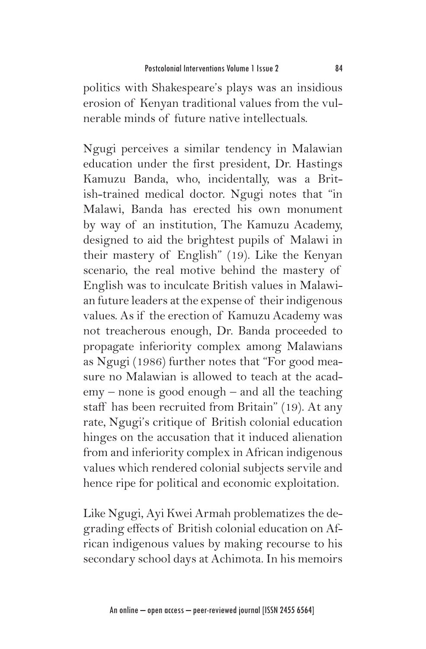politics with Shakespeare's plays was an insidious erosion of Kenyan traditional values from the vulnerable minds of future native intellectuals.

Ngugi perceives a similar tendency in Malawian education under the first president, Dr. Hastings Kamuzu Banda, who, incidentally, was a British-trained medical doctor. Ngugi notes that "in Malawi, Banda has erected his own monument by way of an institution, The Kamuzu Academy, designed to aid the brightest pupils of Malawi in their mastery of English" (19). Like the Kenyan scenario, the real motive behind the mastery of English was to inculcate British values in Malawian future leaders at the expense of their indigenous values. As if the erection of Kamuzu Academy was not treacherous enough, Dr. Banda proceeded to propagate inferiority complex among Malawians as Ngugi (1986) further notes that "For good measure no Malawian is allowed to teach at the academy – none is good enough – and all the teaching staff has been recruited from Britain" (19). At any rate, Ngugi's critique of British colonial education hinges on the accusation that it induced alienation from and inferiority complex in African indigenous values which rendered colonial subjects servile and hence ripe for political and economic exploitation.

Like Ngugi, Ayi Kwei Armah problematizes the degrading effects of British colonial education on African indigenous values by making recourse to his secondary school days at Achimota. In his memoirs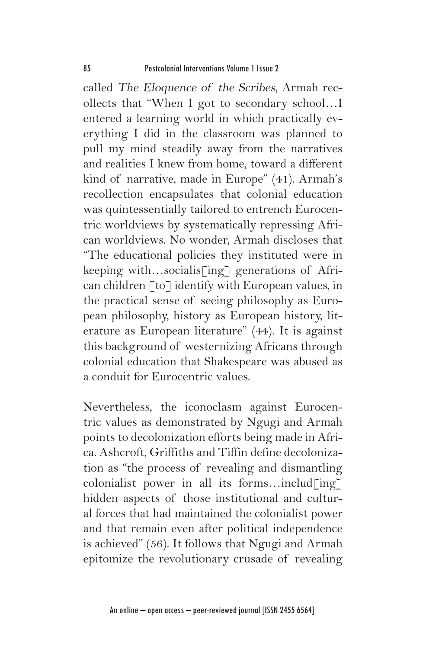called The Eloquence of the Scribes, Armah recollects that "When I got to secondary school…I entered a learning world in which practically everything I did in the classroom was planned to pull my mind steadily away from the narratives and realities I knew from home, toward a different kind of narrative, made in Europe" (41). Armah's recollection encapsulates that colonial education was quintessentially tailored to entrench Eurocentric worldviews by systematically repressing African worldviews. No wonder, Armah discloses that "The educational policies they instituted were in keeping with...socialis[ing] generations of African children [to] identify with European values, in the practical sense of seeing philosophy as European philosophy, history as European history, literature as European literature" (44). It is against this background of westernizing Africans through colonial education that Shakespeare was abused as a conduit for Eurocentric values.

Nevertheless, the iconoclasm against Eurocentric values as demonstrated by Ngugi and Armah points to decolonization efforts being made in Africa. Ashcroft, Griffiths and Tiffin define decolonization as "the process of revealing and dismantling colonialist power in all its forms...includ $\lceil$ ing $\rceil$ hidden aspects of those institutional and cultural forces that had maintained the colonialist power and that remain even after political independence is achieved" (56). It follows that Ngugi and Armah epitomize the revolutionary crusade of revealing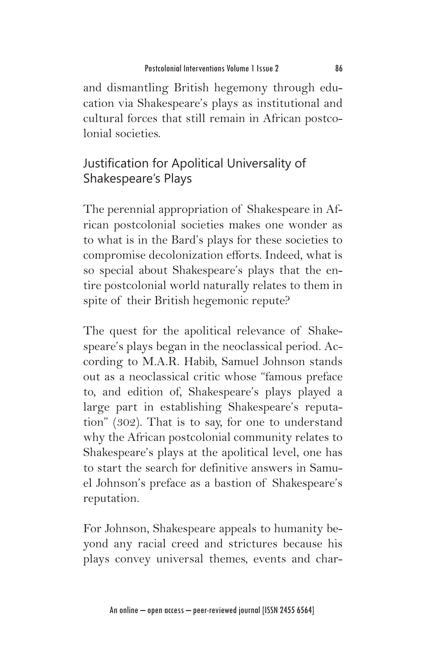and dismantling British hegemony through education via Shakespeare's plays as institutional and cultural forces that still remain in African postcolonial societies.

# Justification for Apolitical Universality of Shakespeare's Plays

The perennial appropriation of Shakespeare in African postcolonial societies makes one wonder as to what is in the Bard's plays for these societies to compromise decolonization efforts. Indeed, what is so special about Shakespeare's plays that the entire postcolonial world naturally relates to them in spite of their British hegemonic repute?

The quest for the apolitical relevance of Shakespeare's plays began in the neoclassical period. According to M.A.R. Habib, Samuel Johnson stands out as a neoclassical critic whose "famous preface to, and edition of, Shakespeare's plays played a large part in establishing Shakespeare's reputation" (302). That is to say, for one to understand why the African postcolonial community relates to Shakespeare's plays at the apolitical level, one has to start the search for definitive answers in Samuel Johnson's preface as a bastion of Shakespeare's reputation.

For Johnson, Shakespeare appeals to humanity beyond any racial creed and strictures because his plays convey universal themes, events and char-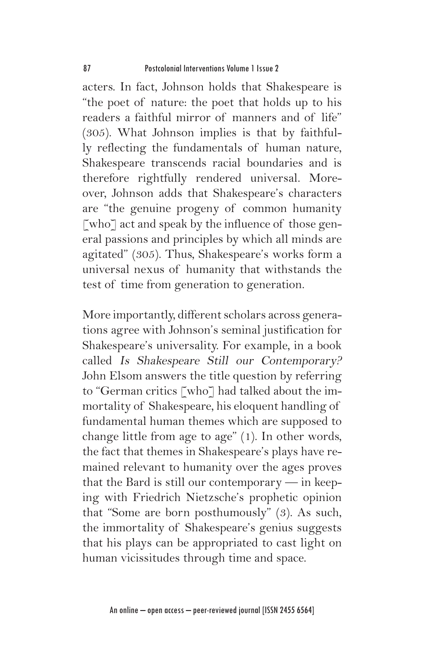acters. In fact, Johnson holds that Shakespeare is "the poet of nature: the poet that holds up to his readers a faithful mirror of manners and of life" (305). What Johnson implies is that by faithfully reflecting the fundamentals of human nature, Shakespeare transcends racial boundaries and is therefore rightfully rendered universal. Moreover, Johnson adds that Shakespeare's characters are "the genuine progeny of common humanity [who] act and speak by the influence of those general passions and principles by which all minds are agitated" (305). Thus, Shakespeare's works form a universal nexus of humanity that withstands the test of time from generation to generation.

More importantly, different scholars across generations agree with Johnson's seminal justification for Shakespeare's universality. For example, in a book called Is Shakespeare Still our Contemporary? John Elsom answers the title question by referring to "German critics [who] had talked about the immortality of Shakespeare, his eloquent handling of fundamental human themes which are supposed to change little from age to age" (1). In other words, the fact that themes in Shakespeare's plays have remained relevant to humanity over the ages proves that the Bard is still our contemporary — in keeping with Friedrich Nietzsche's prophetic opinion that "Some are born posthumously" (3). As such, the immortality of Shakespeare's genius suggests that his plays can be appropriated to cast light on human vicissitudes through time and space.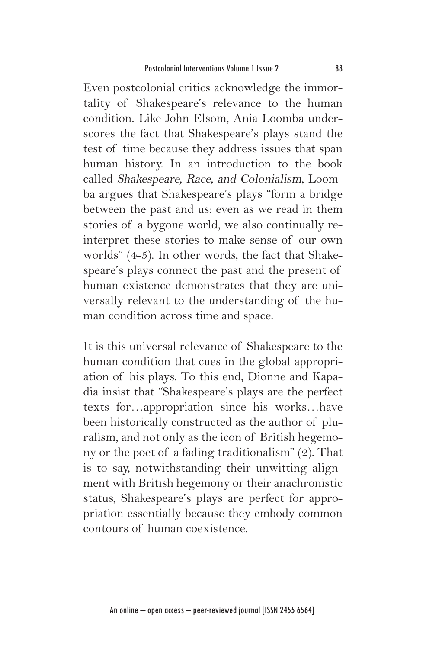Even postcolonial critics acknowledge the immortality of Shakespeare's relevance to the human condition. Like John Elsom, Ania Loomba underscores the fact that Shakespeare's plays stand the test of time because they address issues that span human history. In an introduction to the book called Shakespeare, Race, and Colonialism, Loomba argues that Shakespeare's plays "form a bridge between the past and us: even as we read in them stories of a bygone world, we also continually reinterpret these stories to make sense of our own worlds" (4-5). In other words, the fact that Shakespeare's plays connect the past and the present of human existence demonstrates that they are universally relevant to the understanding of the human condition across time and space.

It is this universal relevance of Shakespeare to the human condition that cues in the global appropriation of his plays. To this end, Dionne and Kapadia insist that "Shakespeare's plays are the perfect texts for…appropriation since his works…have been historically constructed as the author of pluralism, and not only as the icon of British hegemony or the poet of a fading traditionalism" (2). That is to say, notwithstanding their unwitting alignment with British hegemony or their anachronistic status, Shakespeare's plays are perfect for appropriation essentially because they embody common contours of human coexistence.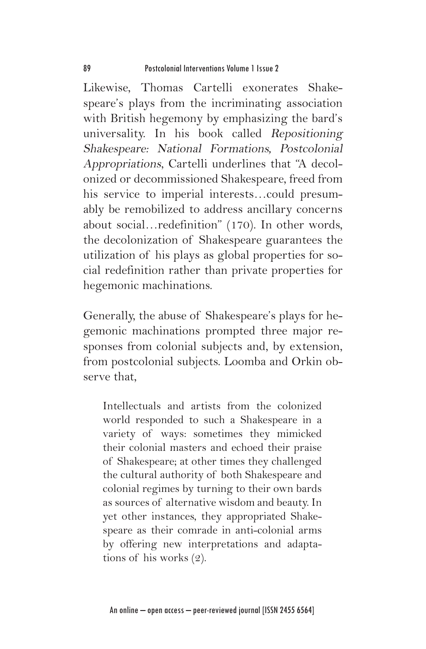Likewise, Thomas Cartelli exonerates Shakespeare's plays from the incriminating association with British hegemony by emphasizing the bard's universality. In his book called Repositioning Shakespeare: National Formations, Postcolonial Appropriations, Cartelli underlines that "A decolonized or decommissioned Shakespeare, freed from his service to imperial interests…could presumably be remobilized to address ancillary concerns about social…redefinition" (170). In other words, the decolonization of Shakespeare guarantees the utilization of his plays as global properties for social redefinition rather than private properties for hegemonic machinations.

Generally, the abuse of Shakespeare's plays for hegemonic machinations prompted three major responses from colonial subjects and, by extension, from postcolonial subjects. Loomba and Orkin observe that,

Intellectuals and artists from the colonized world responded to such a Shakespeare in a variety of ways: sometimes they mimicked their colonial masters and echoed their praise of Shakespeare; at other times they challenged the cultural authority of both Shakespeare and colonial regimes by turning to their own bards as sources of alternative wisdom and beauty. In yet other instances, they appropriated Shakespeare as their comrade in anti-colonial arms by offering new interpretations and adaptations of his works (2).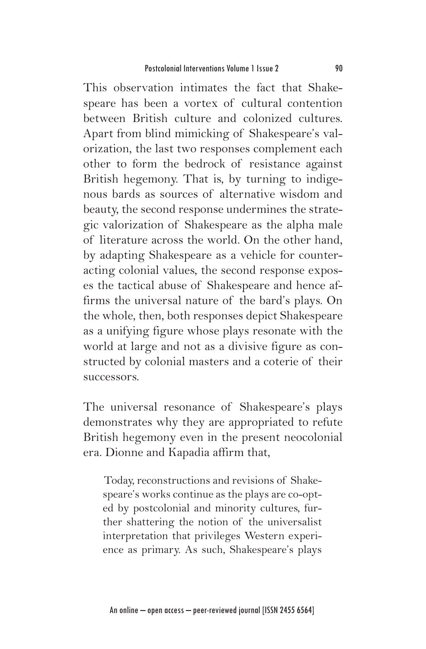This observation intimates the fact that Shakespeare has been a vortex of cultural contention between British culture and colonized cultures. Apart from blind mimicking of Shakespeare's valorization, the last two responses complement each other to form the bedrock of resistance against British hegemony. That is, by turning to indigenous bards as sources of alternative wisdom and beauty, the second response undermines the strategic valorization of Shakespeare as the alpha male of literature across the world. On the other hand, by adapting Shakespeare as a vehicle for counteracting colonial values, the second response exposes the tactical abuse of Shakespeare and hence affirms the universal nature of the bard's plays. On the whole, then, both responses depict Shakespeare as a unifying figure whose plays resonate with the world at large and not as a divisive figure as constructed by colonial masters and a coterie of their successors.

The universal resonance of Shakespeare's plays demonstrates why they are appropriated to refute British hegemony even in the present neocolonial era. Dionne and Kapadia affirm that,

Today, reconstructions and revisions of Shakespeare's works continue as the plays are co-opted by postcolonial and minority cultures, further shattering the notion of the universalist interpretation that privileges Western experience as primary. As such, Shakespeare's plays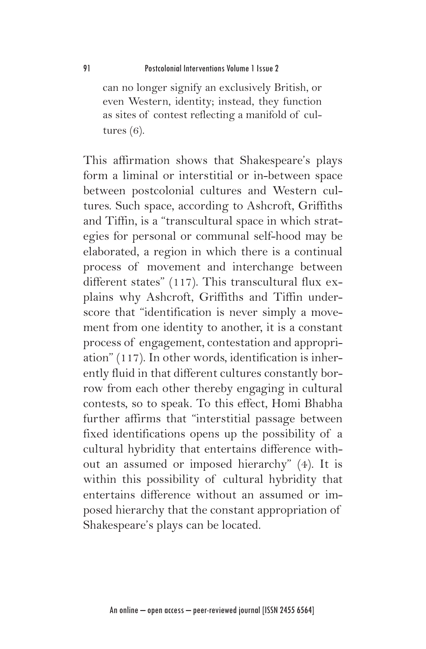can no longer signify an exclusively British, or even Western, identity; instead, they function as sites of contest reflecting a manifold of cultures (6).

This affirmation shows that Shakespeare's plays form a liminal or interstitial or in-between space between postcolonial cultures and Western cultures. Such space, according to Ashcroft, Griffiths and Tiffin, is a "transcultural space in which strategies for personal or communal self-hood may be elaborated, a region in which there is a continual process of movement and interchange between different states" (117). This transcultural flux explains why Ashcroft, Griffiths and Tiffin underscore that "identification is never simply a movement from one identity to another, it is a constant process of engagement, contestation and appropriation" (117). In other words, identification is inherently fluid in that different cultures constantly borrow from each other thereby engaging in cultural contests, so to speak. To this effect, Homi Bhabha further affirms that "interstitial passage between fixed identifications opens up the possibility of a cultural hybridity that entertains difference without an assumed or imposed hierarchy" (4). It is within this possibility of cultural hybridity that entertains difference without an assumed or imposed hierarchy that the constant appropriation of Shakespeare's plays can be located.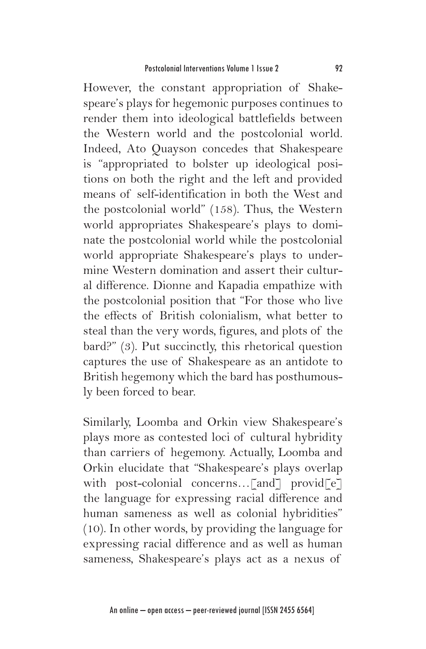However, the constant appropriation of Shakespeare's plays for hegemonic purposes continues to render them into ideological battlefields between the Western world and the postcolonial world. Indeed, Ato Quayson concedes that Shakespeare is "appropriated to bolster up ideological positions on both the right and the left and provided means of self-identification in both the West and the postcolonial world" (158). Thus, the Western world appropriates Shakespeare's plays to dominate the postcolonial world while the postcolonial world appropriate Shakespeare's plays to undermine Western domination and assert their cultural difference. Dionne and Kapadia empathize with the postcolonial position that "For those who live the effects of British colonialism, what better to steal than the very words, figures, and plots of the bard?" (3). Put succinctly, this rhetorical question captures the use of Shakespeare as an antidote to British hegemony which the bard has posthumously been forced to bear.

Similarly, Loomba and Orkin view Shakespeare's plays more as contested loci of cultural hybridity than carriers of hegemony. Actually, Loomba and Orkin elucidate that "Shakespeare's plays overlap with post-colonial concerns...[and] provid[e] the language for expressing racial difference and human sameness as well as colonial hybridities" (10). In other words, by providing the language for expressing racial difference and as well as human sameness, Shakespeare's plays act as a nexus of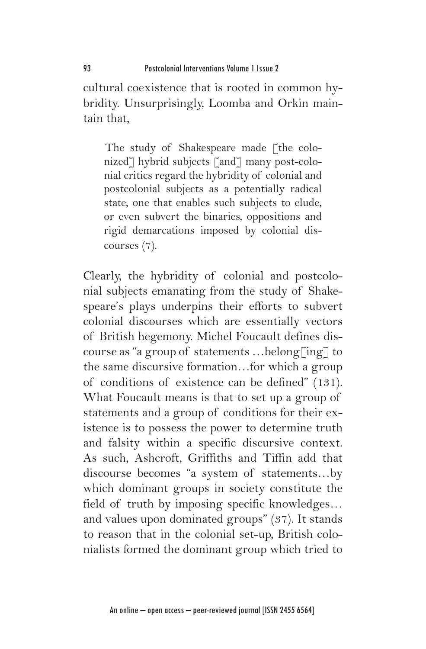cultural coexistence that is rooted in common hybridity. Unsurprisingly, Loomba and Orkin maintain that,

The study of Shakespeare made [the colonized<sup>7</sup> hybrid subjects [and7 many post-colonial critics regard the hybridity of colonial and postcolonial subjects as a potentially radical state, one that enables such subjects to elude, or even subvert the binaries, oppositions and rigid demarcations imposed by colonial discourses (7).

Clearly, the hybridity of colonial and postcolonial subjects emanating from the study of Shakespeare's plays underpins their efforts to subvert colonial discourses which are essentially vectors of British hegemony. Michel Foucault defines discourse as "a group of statements …belong[ing] to the same discursive formation…for which a group of conditions of existence can be defined" (131). What Foucault means is that to set up a group of statements and a group of conditions for their existence is to possess the power to determine truth and falsity within a specific discursive context. As such, Ashcroft, Griffiths and Tiffin add that discourse becomes "a system of statements…by which dominant groups in society constitute the field of truth by imposing specific knowledges… and values upon dominated groups" (37). It stands to reason that in the colonial set-up, British colonialists formed the dominant group which tried to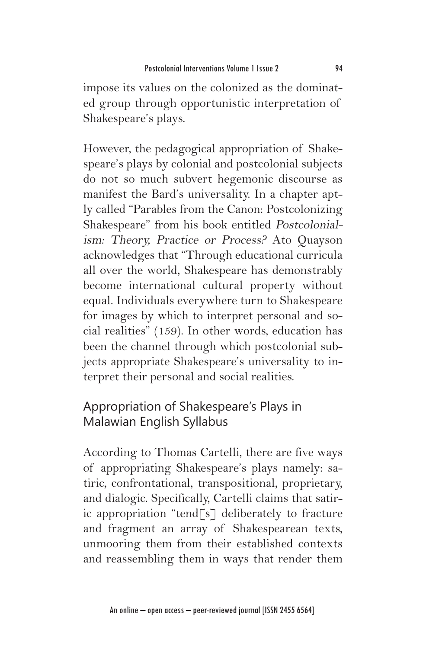impose its values on the colonized as the dominated group through opportunistic interpretation of Shakespeare's plays.

However, the pedagogical appropriation of Shakespeare's plays by colonial and postcolonial subjects do not so much subvert hegemonic discourse as manifest the Bard's universality. In a chapter aptly called "Parables from the Canon: Postcolonizing Shakespeare" from his book entitled Postcolonialism: Theory, Practice or Process? Ato Quayson acknowledges that "Through educational curricula all over the world, Shakespeare has demonstrably become international cultural property without equal. Individuals everywhere turn to Shakespeare for images by which to interpret personal and social realities" (159). In other words, education has been the channel through which postcolonial subjects appropriate Shakespeare's universality to interpret their personal and social realities.

# Appropriation of Shakespeare's Plays in Malawian English Syllabus

According to Thomas Cartelli, there are five ways of appropriating Shakespeare's plays namely: satiric, confrontational, transpositional, proprietary, and dialogic. Specifically, Cartelli claims that satiric appropriation "tend[s] deliberately to fracture and fragment an array of Shakespearean texts, unmooring them from their established contexts and reassembling them in ways that render them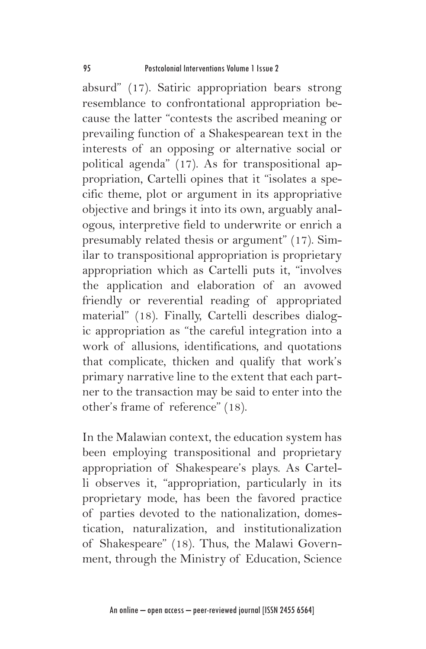absurd" (17). Satiric appropriation bears strong resemblance to confrontational appropriation because the latter "contests the ascribed meaning or prevailing function of a Shakespearean text in the interests of an opposing or alternative social or political agenda" (17). As for transpositional appropriation, Cartelli opines that it "isolates a specific theme, plot or argument in its appropriative objective and brings it into its own, arguably analogous, interpretive field to underwrite or enrich a presumably related thesis or argument" (17). Similar to transpositional appropriation is proprietary appropriation which as Cartelli puts it, "involves the application and elaboration of an avowed friendly or reverential reading of appropriated material" (18). Finally, Cartelli describes dialogic appropriation as "the careful integration into a work of allusions, identifications, and quotations that complicate, thicken and qualify that work's primary narrative line to the extent that each partner to the transaction may be said to enter into the other's frame of reference" (18).

In the Malawian context, the education system has been employing transpositional and proprietary appropriation of Shakespeare's plays. As Cartelli observes it, "appropriation, particularly in its proprietary mode, has been the favored practice of parties devoted to the nationalization, domestication, naturalization, and institutionalization of Shakespeare" (18). Thus, the Malawi Government, through the Ministry of Education, Science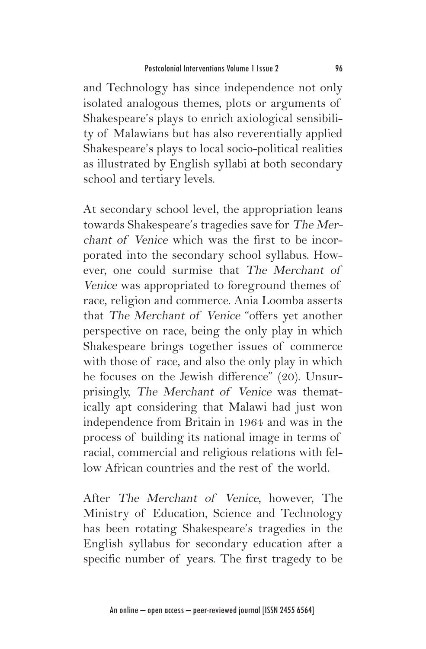and Technology has since independence not only isolated analogous themes, plots or arguments of Shakespeare's plays to enrich axiological sensibility of Malawians but has also reverentially applied Shakespeare's plays to local socio-political realities as illustrated by English syllabi at both secondary school and tertiary levels.

At secondary school level, the appropriation leans towards Shakespeare's tragedies save for The Merchant of Venice which was the first to be incorporated into the secondary school syllabus. However, one could surmise that The Merchant of Venice was appropriated to foreground themes of race, religion and commerce. Ania Loomba asserts that The Merchant of Venice "offers yet another perspective on race, being the only play in which Shakespeare brings together issues of commerce with those of race, and also the only play in which he focuses on the Jewish difference" (20). Unsurprisingly, The Merchant of Venice was thematically apt considering that Malawi had just won independence from Britain in 1964 and was in the process of building its national image in terms of racial, commercial and religious relations with fellow African countries and the rest of the world.

After The Merchant of Venice, however, The Ministry of Education, Science and Technology has been rotating Shakespeare's tragedies in the English syllabus for secondary education after a specific number of years. The first tragedy to be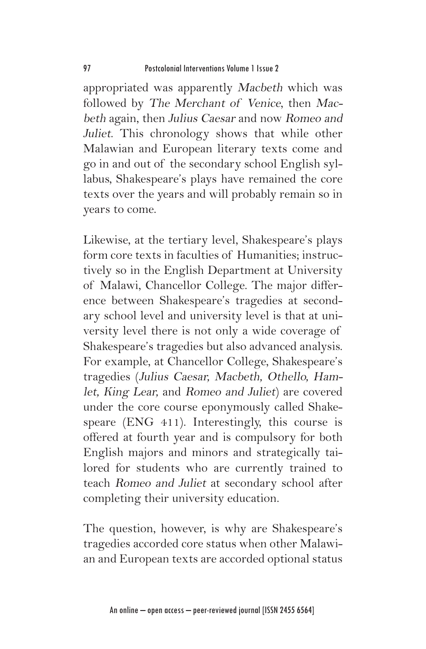appropriated was apparently Macbeth which was followed by The Merchant of Venice, then Macbeth again, then Julius Caesar and now Romeo and Juliet. This chronology shows that while other Malawian and European literary texts come and go in and out of the secondary school English syllabus, Shakespeare's plays have remained the core texts over the years and will probably remain so in years to come.

Likewise, at the tertiary level, Shakespeare's plays form core texts in faculties of Humanities; instructively so in the English Department at University of Malawi, Chancellor College. The major difference between Shakespeare's tragedies at secondary school level and university level is that at university level there is not only a wide coverage of Shakespeare's tragedies but also advanced analysis. For example, at Chancellor College, Shakespeare's tragedies (Julius Caesar, Macbeth, Othello, Hamlet, King Lear, and Romeo and Juliet) are covered under the core course eponymously called Shakespeare (ENG 411). Interestingly, this course is offered at fourth year and is compulsory for both English majors and minors and strategically tailored for students who are currently trained to teach Romeo and Juliet at secondary school after completing their university education.

The question, however, is why are Shakespeare's tragedies accorded core status when other Malawian and European texts are accorded optional status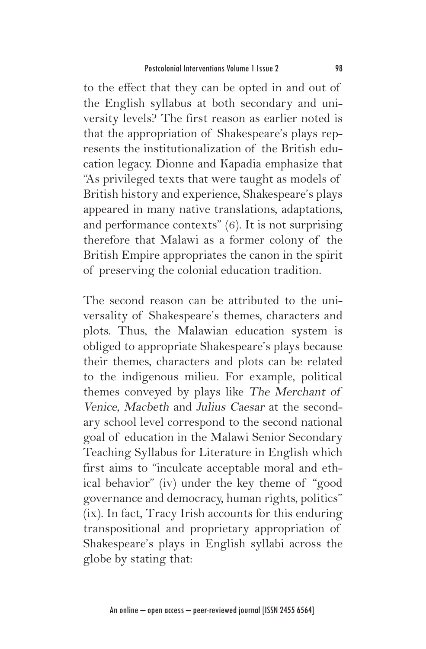to the effect that they can be opted in and out of the English syllabus at both secondary and university levels? The first reason as earlier noted is that the appropriation of Shakespeare's plays represents the institutionalization of the British education legacy. Dionne and Kapadia emphasize that "As privileged texts that were taught as models of British history and experience, Shakespeare's plays appeared in many native translations, adaptations, and performance contexts" (6). It is not surprising therefore that Malawi as a former colony of the British Empire appropriates the canon in the spirit of preserving the colonial education tradition.

The second reason can be attributed to the universality of Shakespeare's themes, characters and plots. Thus, the Malawian education system is obliged to appropriate Shakespeare's plays because their themes, characters and plots can be related to the indigenous milieu. For example, political themes conveyed by plays like The Merchant of Venice, Macbeth and Julius Caesar at the secondary school level correspond to the second national goal of education in the Malawi Senior Secondary Teaching Syllabus for Literature in English which first aims to "inculcate acceptable moral and ethical behavior" (iv) under the key theme of "good governance and democracy, human rights, politics" (ix). In fact, Tracy Irish accounts for this enduring transpositional and proprietary appropriation of Shakespeare's plays in English syllabi across the globe by stating that: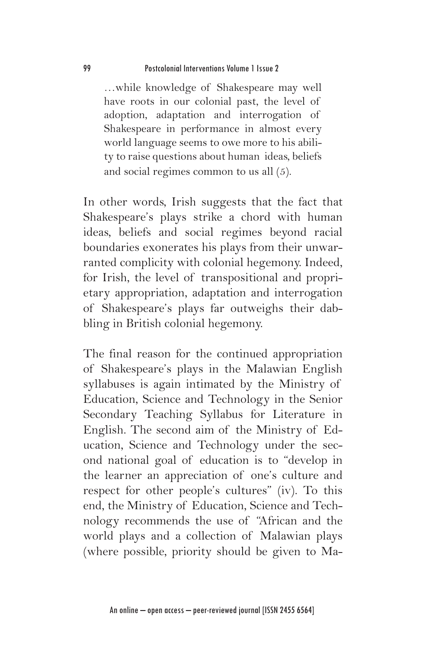…while knowledge of Shakespeare may well have roots in our colonial past, the level of adoption, adaptation and interrogation of Shakespeare in performance in almost every world language seems to owe more to his ability to raise questions about human ideas, beliefs and social regimes common to us all (5).

In other words, Irish suggests that the fact that Shakespeare's plays strike a chord with human ideas, beliefs and social regimes beyond racial boundaries exonerates his plays from their unwarranted complicity with colonial hegemony. Indeed, for Irish, the level of transpositional and proprietary appropriation, adaptation and interrogation of Shakespeare's plays far outweighs their dabbling in British colonial hegemony.

The final reason for the continued appropriation of Shakespeare's plays in the Malawian English syllabuses is again intimated by the Ministry of Education, Science and Technology in the Senior Secondary Teaching Syllabus for Literature in English. The second aim of the Ministry of Education, Science and Technology under the second national goal of education is to "develop in the learner an appreciation of one's culture and respect for other people's cultures" (iv). To this end, the Ministry of Education, Science and Technology recommends the use of "African and the world plays and a collection of Malawian plays (where possible, priority should be given to Ma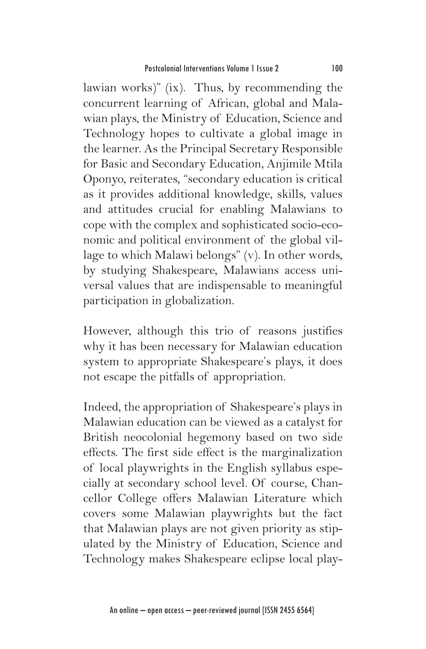lawian works)" (ix). Thus, by recommending the concurrent learning of African, global and Malawian plays, the Ministry of Education, Science and Technology hopes to cultivate a global image in the learner. As the Principal Secretary Responsible for Basic and Secondary Education, Anjimile Mtila Oponyo, reiterates, "secondary education is critical as it provides additional knowledge, skills, values and attitudes crucial for enabling Malawians to cope with the complex and sophisticated socio-economic and political environment of the global village to which Malawi belongs" (v). In other words, by studying Shakespeare, Malawians access universal values that are indispensable to meaningful participation in globalization.

However, although this trio of reasons justifies why it has been necessary for Malawian education system to appropriate Shakespeare's plays, it does not escape the pitfalls of appropriation.

Indeed, the appropriation of Shakespeare's plays in Malawian education can be viewed as a catalyst for British neocolonial hegemony based on two side effects. The first side effect is the marginalization of local playwrights in the English syllabus especially at secondary school level. Of course, Chancellor College offers Malawian Literature which covers some Malawian playwrights but the fact that Malawian plays are not given priority as stipulated by the Ministry of Education, Science and Technology makes Shakespeare eclipse local play-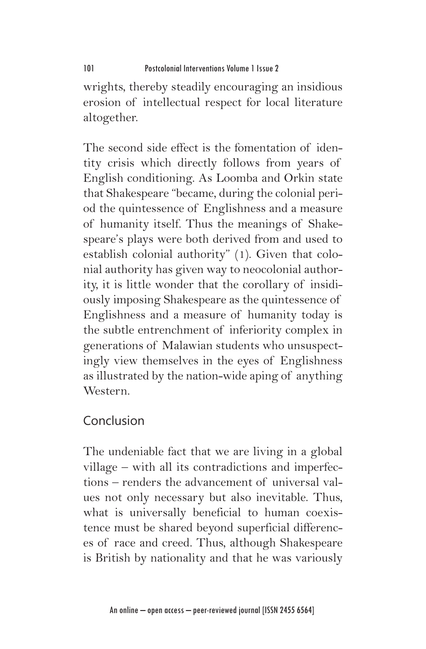wrights, thereby steadily encouraging an insidious erosion of intellectual respect for local literature altogether.

The second side effect is the fomentation of identity crisis which directly follows from years of English conditioning. As Loomba and Orkin state that Shakespeare "became, during the colonial period the quintessence of Englishness and a measure of humanity itself. Thus the meanings of Shakespeare's plays were both derived from and used to establish colonial authority" (1). Given that colonial authority has given way to neocolonial authority, it is little wonder that the corollary of insidiously imposing Shakespeare as the quintessence of Englishness and a measure of humanity today is the subtle entrenchment of inferiority complex in generations of Malawian students who unsuspectingly view themselves in the eyes of Englishness as illustrated by the nation-wide aping of anything Western.

# Conclusion

The undeniable fact that we are living in a global village – with all its contradictions and imperfections – renders the advancement of universal values not only necessary but also inevitable. Thus, what is universally beneficial to human coexistence must be shared beyond superficial differences of race and creed. Thus, although Shakespeare is British by nationality and that he was variously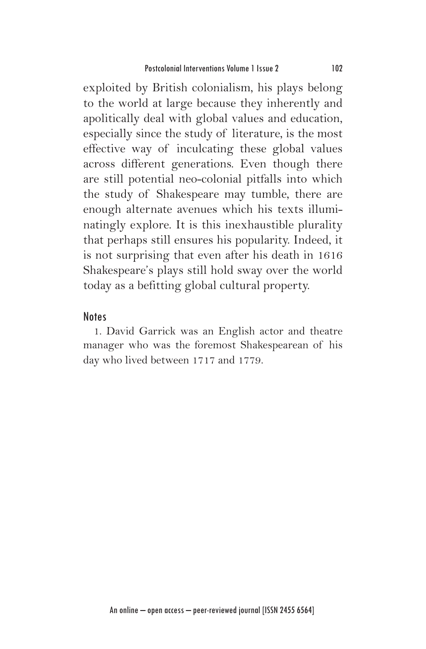exploited by British colonialism, his plays belong to the world at large because they inherently and apolitically deal with global values and education, especially since the study of literature, is the most effective way of inculcating these global values across different generations. Even though there are still potential neo-colonial pitfalls into which the study of Shakespeare may tumble, there are enough alternate avenues which his texts illuminatingly explore. It is this inexhaustible plurality that perhaps still ensures his popularity. Indeed, it is not surprising that even after his death in 1616 Shakespeare's plays still hold sway over the world today as a befitting global cultural property.

#### Notes

1. David Garrick was an English actor and theatre manager who was the foremost Shakespearean of his day who lived between 1717 and 1779.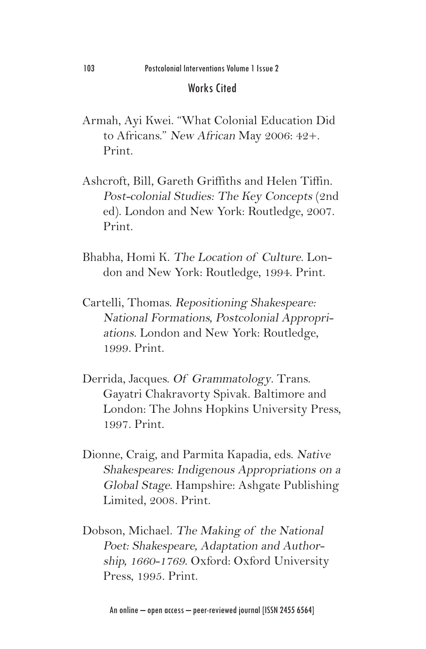#### Works Cited

- Armah, Ayi Kwei. "What Colonial Education Did to Africans." New African May 2006: 42+. Print.
- Ashcroft, Bill, Gareth Griffiths and Helen Tiffin. Post-colonial Studies: The Key Concepts (2nd ed). London and New York: Routledge, 2007. Print.
- Bhabha, Homi K. The Location of Culture. London and New York: Routledge, 1994. Print.
- Cartelli, Thomas. Repositioning Shakespeare: National Formations, Postcolonial Appropriations. London and New York: Routledge, 1999. Print.
- Derrida, Jacques. Of Grammatology. Trans. Gayatri Chakravorty Spivak. Baltimore and London: The Johns Hopkins University Press, 1997. Print.
- Dionne, Craig, and Parmita Kapadia, eds. Native Shakespeares: Indigenous Appropriations on a Global Stage. Hampshire: Ashgate Publishing Limited, 2008. Print.
- Dobson, Michael. The Making of the National Poet: Shakespeare, Adaptation and Authorship, 1660-1769. Oxford: Oxford University Press, 1995. Print.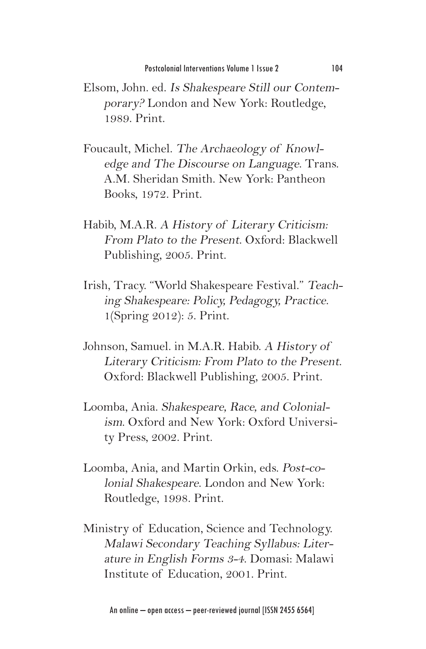- Elsom, John. ed. Is Shakespeare Still our Contemporary? London and New York: Routledge, 1989. Print.
- Foucault, Michel. The Archaeology of Knowledge and The Discourse on Language. Trans. A.M. Sheridan Smith. New York: Pantheon Books, 1972. Print.
- Habib, M.A.R. A History of Literary Criticism: From Plato to the Present. Oxford: Blackwell Publishing, 2005. Print.
- Irish, Tracy. "World Shakespeare Festival." Teaching Shakespeare: Policy, Pedagogy, Practice. 1(Spring 2012): 5. Print.
- Johnson, Samuel. in M.A.R. Habib. A History of Literary Criticism: From Plato to the Present. Oxford: Blackwell Publishing, 2005. Print.
- Loomba, Ania. Shakespeare, Race, and Colonialism. Oxford and New York: Oxford University Press, 2002. Print.
- Loomba, Ania, and Martin Orkin, eds. Post-colonial Shakespeare. London and New York: Routledge, 1998. Print.
- Ministry of Education, Science and Technology. Malawi Secondary Teaching Syllabus: Literature in English Forms 3-4. Domasi: Malawi Institute of Education, 2001. Print.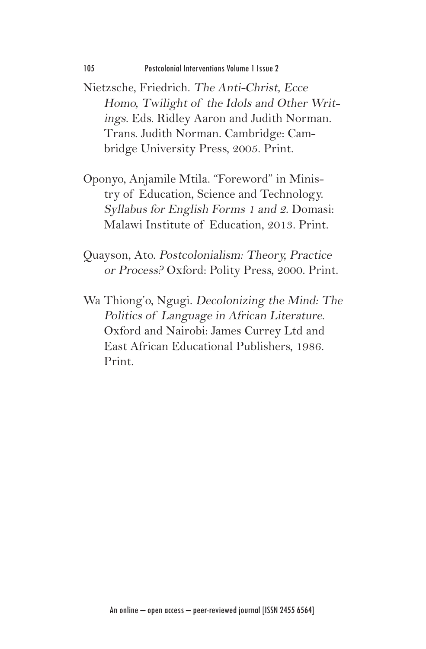- Nietzsche, Friedrich. The Anti-Christ, Ecce Homo, Twilight of the Idols and Other Writings. Eds. Ridley Aaron and Judith Norman. Trans. Judith Norman. Cambridge: Cambridge University Press, 2005. Print.
- Oponyo, Anjamile Mtila. "Foreword" in Ministry of Education, Science and Technology. Syllabus for English Forms 1 and 2. Domasi: Malawi Institute of Education, 2013. Print.
- Quayson, Ato. Postcolonialism: Theory, Practice or Process? Oxford: Polity Press, 2000. Print.
- Wa Thiong'o, Ngugi. Decolonizing the Mind: The Politics of Language in African Literature. Oxford and Nairobi: James Currey Ltd and East African Educational Publishers, 1986. Print.